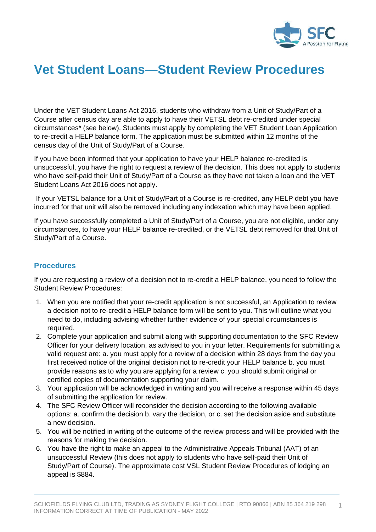

# **Vet Student Loans—Student Review Procedures**

Under the VET Student Loans Act 2016, students who withdraw from a Unit of Study/Part of a Course after census day are able to apply to have their VETSL debt re-credited under special circumstances\* (see below). Students must apply by completing the VET Student Loan Application to re-credit a HELP balance form. The application must be submitted within 12 months of the census day of the Unit of Study/Part of a Course.

If you have been informed that your application to have your HELP balance re-credited is unsuccessful, you have the right to request a review of the decision. This does not apply to students who have self-paid their Unit of Study/Part of a Course as they have not taken a loan and the VET Student Loans Act 2016 does not apply.

If your VETSL balance for a Unit of Study/Part of a Course is re-credited, any HELP debt you have incurred for that unit will also be removed including any indexation which may have been applied.

If you have successfully completed a Unit of Study/Part of a Course, you are not eligible, under any circumstances, to have your HELP balance re-credited, or the VETSL debt removed for that Unit of Study/Part of a Course.

### **Procedures**

If you are requesting a review of a decision not to re-credit a HELP balance, you need to follow the Student Review Procedures:

- 1. When you are notified that your re-credit application is not successful, an Application to review a decision not to re-credit a HELP balance form will be sent to you. This will outline what you need to do, including advising whether further evidence of your special circumstances is required.
- 2. Complete your application and submit along with supporting documentation to the SFC Review Officer for your delivery location, as advised to you in your letter. Requirements for submitting a valid request are: a. you must apply for a review of a decision within 28 days from the day you first received notice of the original decision not to re-credit your HELP balance b. you must provide reasons as to why you are applying for a review c. you should submit original or certified copies of documentation supporting your claim.
- 3. Your application will be acknowledged in writing and you will receive a response within 45 days of submitting the application for review.
- 4. The SFC Review Officer will reconsider the decision according to the following available options: a. confirm the decision b. vary the decision, or c. set the decision aside and substitute a new decision.
- 5. You will be notified in writing of the outcome of the review process and will be provided with the reasons for making the decision.
- 6. You have the right to make an appeal to the Administrative Appeals Tribunal (AAT) of an unsuccessful Review (this does not apply to students who have self-paid their Unit of Study/Part of Course). The approximate cost VSL Student Review Procedures of lodging an appeal is \$884.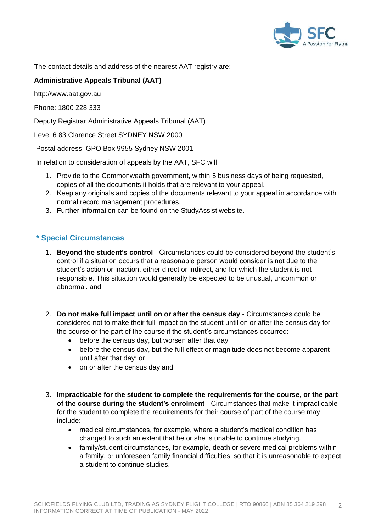

The contact details and address of the nearest AAT registry are:

### **Administrative Appeals Tribunal (AAT)**

http://www.aat.gov.au

Phone: 1800 228 333

Deputy Registrar Administrative Appeals Tribunal (AAT)

Level 6 83 Clarence Street SYDNEY NSW 2000

Postal address: GPO Box 9955 Sydney NSW 2001

In relation to consideration of appeals by the AAT, SFC will:

- 1. Provide to the Commonwealth government, within 5 business days of being requested, copies of all the documents it holds that are relevant to your appeal.
- 2. Keep any originals and copies of the documents relevant to your appeal in accordance with normal record management procedures.
- 3. Further information can be found on the StudyAssist website.

## **\* Special Circumstances**

- 1. **Beyond the student's control** Circumstances could be considered beyond the student's control if a situation occurs that a reasonable person would consider is not due to the student's action or inaction, either direct or indirect, and for which the student is not responsible. This situation would generally be expected to be unusual, uncommon or abnormal. and
- 2. **Do not make full impact until on or after the census day** Circumstances could be considered not to make their full impact on the student until on or after the census day for the course or the part of the course if the student's circumstances occurred:
	- before the census day, but worsen after that day
	- before the census day, but the full effect or magnitude does not become apparent until after that day; or
	- on or after the census day and
- 3. **Impracticable for the student to complete the requirements for the course, or the part of the course during the student's enrolment** - Circumstances that make it impracticable for the student to complete the requirements for their course of part of the course may include:
	- medical circumstances, for example, where a student's medical condition has changed to such an extent that he or she is unable to continue studying.
	- family/student circumstances, for example, death or severe medical problems within a family, or unforeseen family financial difficulties, so that it is unreasonable to expect a student to continue studies.